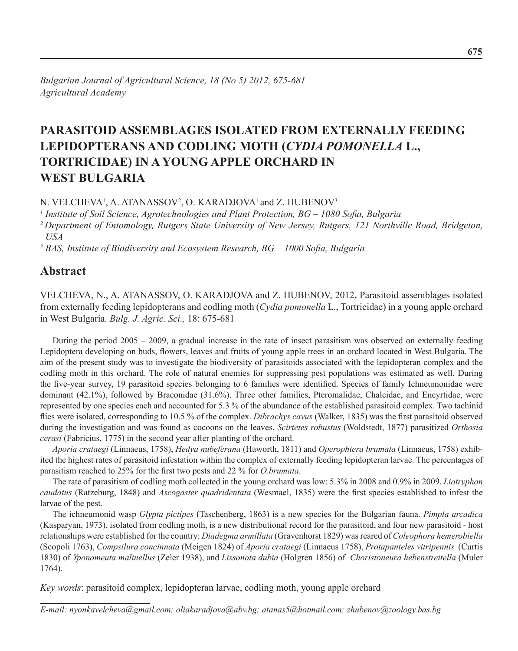# **PARASITOID ASSEMBLAGES ISOLATED FROM EXTERNALLY FEEDING LEPIDOPTERANS AND CODLING MOTH (***CYDIA POMONELLA* **L., TORTRICIDAE) IN A YOUNG APPLE ORCHARD IN WEST BULGARIA**

N. VELCHEVA<sup>1</sup>, A. ATANASSOV<sup>2</sup>, O. KARADJOVA<sup>1</sup> and Z. HUBENOV<sup>3</sup>

*1 Institute of Soil Science, Agrotechnologies and Plant Protection, BG – 1080 Sofia, Bulgaria <sup>2</sup>Department of Entomology, Rutgers State University of New Jersey, Rutgers, 121 Northville Road, Bridgeton, USA* 

*3 BAS, Institute of Biodiversity and Ecosystem Research, BG – 1000 Sofia, Bulgaria*

# **Abstract**

VELCHEVA, N., A. ATANASSOV, O. KARADJOVA and Z. HUBENOV, 2012**.** Parasitoid assemblages isolated from externally feeding lepidopterans and codling moth (*Cydia pomonella* L., Tortricidae) in a young apple orchard in West Bulgaria. *Bulg. J. Agric. Sci.,* 18: 675-681

During the period 2005 – 2009, a gradual increase in the rate of insect parasitism was observed on externally feeding Lepidoptera developing on buds, flowers, leaves and fruits of young apple trees in an orchard located in West Bulgaria. The aim of the present study was to investigate the biodiversity of parasitoids associated with the lepidopteran complex and the codling moth in this orchard. The role of natural enemies for suppressing pest populations was estimated as well. During the five-year survey, 19 parasitoid species belonging to 6 families were identified. Species of family Ichneumonidae were dominant (42.1%), followed by Braconidae (31.6%). Three other families, Pteromalidae, Chalcidae, and Encyrtidae, were represented by one species each and accounted for 5.3 % of the abundance of the established parasitoid complex. Two tachinid flies were isolated, corresponding to 10.5 % of the complex. *Dibrachys cavus* (Walker, 1835) was the first parasitoid observed during the investigation and was found as cocoons on the leaves. *Scirtetes robustus* (Woldstedt, 1877) parasitized *Orthosia cerasi* (Fabricius, 1775) in the second year after planting of the orchard.

*Aporia crataegi* (Linnaeus, 1758), *Hedya nubeferana* (Haworth, 1811) and *Operophtera brumata* (Linnaeus, 1758) exhibited the highest rates of parasitoid infestation within the complex of externally feeding lepidopteran larvae. The percentages of parasitism reached to 25% for the first two pests and 22 % for *O*.*brumata*.

The rate of parasitism of codling moth collected in the young orchard was low: 5.3% in 2008 and 0.9% in 2009. *Liotryphon caudatus* (Ratzeburg, 1848) and *Ascogaster quadridentata* (Wesmael, 1835) were the first species established to infest the larvae of the pest.

The ichneumonid wasp *Glypta pictipes* (Taschenberg, 1863) is a new species for the Bulgarian fauna. *Pimpla arcadica* (Kasparyan, 1973), isolated from codling moth, is a new distributional record for the parasitoid, and four new parasitoid - host relationships were established for the country: *Diadegma armillata* (Gravenhorst 1829) was reared of *Coleophora hemerobiella* (Scopoli 1763), *Compsilura concinnata* (Meigen 1824) of *Aporia crataegi* (Linnaeus 1758), *Protapanteles vitripennis* (Curtis 1830) of *Yponomeuta malinellus* (Zeler 1938), and *Lissonota dubia* (Holgren 1856) of *Choristoneura hebenstreitella* (Muler 1764).

*Key words*: parasitoid complex, lepidopteran larvae, codling moth, young apple orchard

*E-mail: nyonkavelcheva@gmail.com; oliakaradjova@abv.bg; atanas5@hotmail.com; zhubenov@zoology.bas.bg*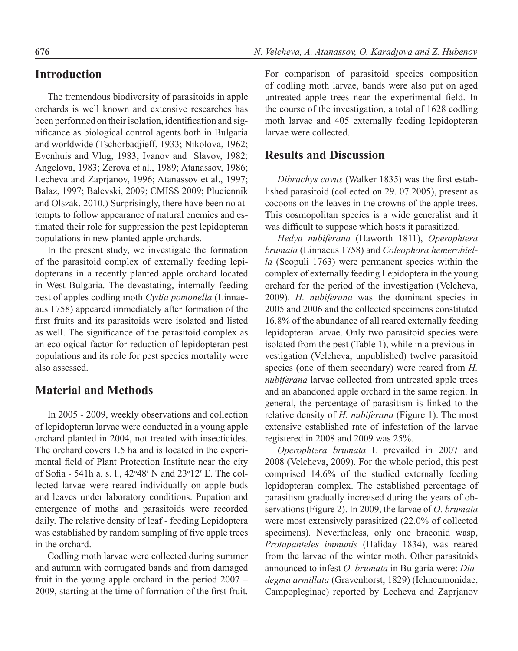### **Introduction**

The tremendous biodiversity of parasitoids in apple orchards is well known and extensive researches has been performed on their isolation, identification and significance as biological control agents both in Bulgaria and worldwide (Tschorbadjieff, 1933; Nikolova, 1962; Evenhuis and Vlug, 1983; Ivanov and Slavov, 1982; Angelova, 1983; Zerova et al., 1989; Atanassov, 1986; Lecheva and Zaprjanov, 1996; Atanassov et al., 1997; Balaz, 1997; Balevski, 2009; CMISS 2009; Pluciennik and Olszak, 2010.) Surprisingly, there have been no attempts to follow appearance of natural enemies and estimated their role for suppression the pest lepidopteran populations in new planted apple orchards.

In the present study, we investigate the formation of the parasitoid complex of externally feeding lepidopterans in a recently planted apple orchard located in West Bulgaria. The devastating, internally feeding pest of apples codling moth *Cydia pomonella* (Linnaeaus 1758) appeared immediately after formation of the first fruits and its parasitoids were isolated and listed as well. The significance of the parasitoid complex as an ecological factor for reduction of lepidopteran pest populations and its role for pest species mortality were also assessed.

### **Material and Methods**

In 2005 - 2009, weekly observations and collection of lepidopteran larvae were conducted in a young apple orchard planted in 2004, not treated with insecticides. The orchard covers 1.5 ha and is located in the experimental field of Plant Protection Institute near the city of Sofia - 541h a. s. l., 42°48' N and 23°12' E. The collected larvae were reared individually on apple buds and leaves under laboratory conditions. Pupation and emergence of moths and parasitoids were recorded daily. The relative density of leaf - feeding Lepidoptera was established by random sampling of five apple trees in the orchard.

Codling moth larvae were collected during summer and autumn with corrugated bands and from damaged fruit in the young apple orchard in the period 2007 – 2009, starting at the time of formation of the first fruit.

For comparison of parasitoid species composition of codling moth larvae, bands were also put on aged untreated apple trees near the experimental field. In the course of the investigation, a total of 1628 codling moth larvae and 405 externally feeding lepidopteran larvae were collected.

### **Results and Discussion**

*Dibrachys cavus* (Walker 1835) was the first established parasitoid (collected on 29. 07.2005), present as cocoons on the leaves in the crowns of the apple trees. This cosmopolitan species is a wide generalist and it was difficult to suppose which hosts it parasitized.

*Hedya nubiferana* (Haworth 1811), *Operophtera brumata* (Linnaeus 1758) and *Coleophora hemerobiella* (Scopuli 1763) were permanent species within the complex of externally feeding Lepidoptera in the young orchard for the period of the investigation (Velcheva, 2009). *H. nubiferana* was the dominant species in 2005 and 2006 and the collected specimens constituted 16.8% of the abundance of all reared externally feeding lepidopteran larvae. Only two parasitoid species were isolated from the pest (Table 1), while in a previous investigation (Velcheva, unpublished) twelve parasitoid species (one of them secondary) were reared from *H. nubiferana* larvae collected from untreated apple trees and an abandoned apple orchard in the same region. In general, the percentage of parasitism is linked to the relative density of *H. nubiferana* (Figure 1). The most extensive established rate of infestation of the larvae registered in 2008 and 2009 was 25%.

*Operophtera brumata* L prevailed in 2007 and 2008 (Velcheva, 2009). For the whole period, this pest comprised 14.6% of the studied externally feeding lepidopteran complex. The established percentage of parasitism gradually increased during the years of observations (Figure 2). In 2009, the larvae of *O. brumata* were most extensively parasitized (22.0% of collected specimens). Nevertheless, only one braconid wasp, *Protapanteles immunis* (Haliday 1834), was reared from the larvae of the winter moth. Other parasitoids announced to infest *O. brumata* in Bulgaria were: *Diadegma armillata* (Gravenhorst, 1829) (Ichneumonidae, Campopleginae) reported by Lecheva and Zaprjanov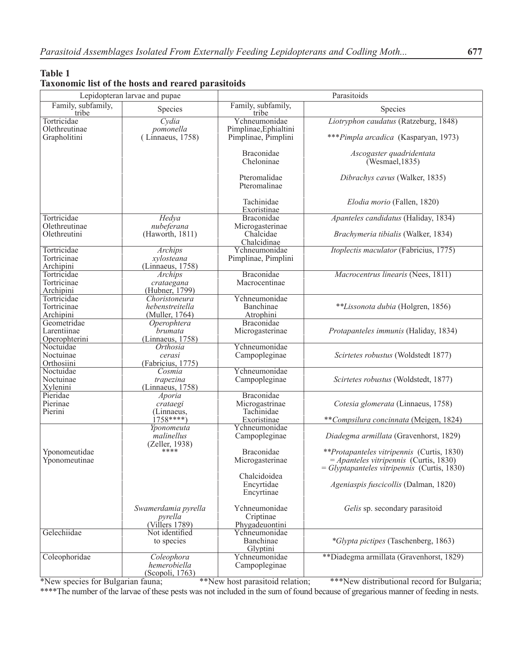#### **Table 1 Taxonomic list of the hosts and reared parasitoids**

| Family, subfamily,<br>Family, subfamily,<br>Species<br>Species<br>tribe<br>tribe<br>Ychneumonidae<br>Liotryphon caudatus (Ratzeburg, 1848)<br>Cydia<br>Tortricidae<br>Pimplinae, Ephialtini<br>Olethreutinae<br>pomonella<br>Grapholitini<br>(Linnaeus, 1758)<br>Pimplinae, Pimplini<br>***Pimpla arcadica (Kasparyan, 1973)<br><b>Braconidae</b><br>Ascogaster quadridentata<br>Cheloninae<br>(Wesmael, 1835)<br>Pteromalidae<br>Dibrachys cavus (Walker, 1835)<br>Pteromalinae<br>Tachinidae<br>Elodia morio (Fallen, 1820)<br>Exoristinae<br>Tortricidae<br>Hedya<br>Braconidae<br>Apanteles candidatus (Haliday, 1834)<br>Olethreutinae<br>Microgasterinae<br>nubeferana<br>Olethreutini<br>(Haworth, 1811)<br>Chalcidae<br>Brachymeria tibialis (Walker, 1834)<br>Chalcidinae<br>Tortricidae<br>Ychneumonidae<br>Itoplectis maculator (Fabricius, 1775)<br>Archips<br>Tortricinae<br>Pimplinae, Pimplini<br>xylosteana<br>Archipini<br>(Linnaeus, 1758)<br>Macrocentrus linearis (Nees, 1811)<br>Tortricidae<br><b>Braconidae</b><br><b>Archips</b><br>Tortricinae<br>Macrocentinae<br>crataegana<br>(Hubner, 1799)<br>Archipini<br>Tortricidae<br>Choristoneura<br>Ychneumonidae<br>**Lissonota dubia (Holgren, 1856)<br>Tortricinae<br>hebenstreitella<br>Banchinae<br>Archipini<br>(Muller, 1764)<br>Atrophini<br>Geometridae<br><b>Braconidae</b><br>Operophtera<br>Larentiinae<br>Microgasterinae<br>Protapanteles immunis (Haliday, 1834)<br>brumata<br>Operophterini<br>(Linnaeus, 1758)<br>Ychneumonidae<br>Noctuidae<br>Orthosia<br>Noctuinae<br>Campopleginae<br>Scirtetes robustus (Woldstedt 1877)<br>cerasi<br>Orthosiini<br>(Fabricius, 1775)<br>Ychneumonidae<br>Noctuidae<br>Cosmia<br>Noctuinae<br>Campopleginae<br>Scirtetes robustus (Woldstedt, 1877)<br>trapezina<br>Xylenini<br>(Linnaeus, 1758)<br>Pieridae<br>Braconidae<br>Aporia<br>Pierinae<br>Microgastrinae<br>Cotesia glomerata (Linnaeus, 1758)<br>crataegi<br>Pierini<br>Tachinidae<br>(Linnaeus,<br>$1758***$<br>Exoristinae<br>**Compsilura concinnata (Meigen, 1824)<br>Ychneumonidae<br>Yponomeuta<br>Diadegma armillata (Gravenhorst, 1829)<br>malinellus<br>Campopleginae<br>(Zeller, 1938)<br>****<br>Braconidae<br>Yponomeutidae<br><i>**Protapanteles vitripennis</i> (Curtis, 1830)<br>$=$ Apanteles vitripennis (Curtis, 1830)<br>Yponomeutinae<br>Microgasterinae<br>$=$ Glyptapanteles vitripennis (Curtis, 1830)<br>Chalcidoidea<br>Encyrtidae<br>Ageniaspis fuscicollis (Dalman, 1820)<br>Encyrtinae<br>Ychneumonidae<br>Gelis sp. secondary parasitoid<br>Swamerdamia pyrella<br>pyrella<br>Criptinae<br>(Villers 1789)<br>Phygadeuontini<br>Gelechiidae<br>Not identified<br>Ychneumonidae<br>*Glypta pictipes (Taschenberg, 1863)<br>Banchinae<br>to species<br>Glyptini<br>**Diadegma armillata (Gravenhorst, 1829)<br>Coleophoridae<br>Coleophora<br>Ychneumonidae<br>hemerobiella<br>Campopleginae | Lepidopteran larvae and pupae |                 | Parasitoids |  |  |
|--------------------------------------------------------------------------------------------------------------------------------------------------------------------------------------------------------------------------------------------------------------------------------------------------------------------------------------------------------------------------------------------------------------------------------------------------------------------------------------------------------------------------------------------------------------------------------------------------------------------------------------------------------------------------------------------------------------------------------------------------------------------------------------------------------------------------------------------------------------------------------------------------------------------------------------------------------------------------------------------------------------------------------------------------------------------------------------------------------------------------------------------------------------------------------------------------------------------------------------------------------------------------------------------------------------------------------------------------------------------------------------------------------------------------------------------------------------------------------------------------------------------------------------------------------------------------------------------------------------------------------------------------------------------------------------------------------------------------------------------------------------------------------------------------------------------------------------------------------------------------------------------------------------------------------------------------------------------------------------------------------------------------------------------------------------------------------------------------------------------------------------------------------------------------------------------------------------------------------------------------------------------------------------------------------------------------------------------------------------------------------------------------------------------------------------------------------------------------------------------------------------------------------------------------------------------------------------------------------------------------------------------------------------------------------------------------------------------------------------------------------------------------------------------------------------------------------------------------------------------------------------------------------------|-------------------------------|-----------------|-------------|--|--|
|                                                                                                                                                                                                                                                                                                                                                                                                                                                                                                                                                                                                                                                                                                                                                                                                                                                                                                                                                                                                                                                                                                                                                                                                                                                                                                                                                                                                                                                                                                                                                                                                                                                                                                                                                                                                                                                                                                                                                                                                                                                                                                                                                                                                                                                                                                                                                                                                                                                                                                                                                                                                                                                                                                                                                                                                                                                                                                              |                               |                 |             |  |  |
|                                                                                                                                                                                                                                                                                                                                                                                                                                                                                                                                                                                                                                                                                                                                                                                                                                                                                                                                                                                                                                                                                                                                                                                                                                                                                                                                                                                                                                                                                                                                                                                                                                                                                                                                                                                                                                                                                                                                                                                                                                                                                                                                                                                                                                                                                                                                                                                                                                                                                                                                                                                                                                                                                                                                                                                                                                                                                                              |                               |                 |             |  |  |
|                                                                                                                                                                                                                                                                                                                                                                                                                                                                                                                                                                                                                                                                                                                                                                                                                                                                                                                                                                                                                                                                                                                                                                                                                                                                                                                                                                                                                                                                                                                                                                                                                                                                                                                                                                                                                                                                                                                                                                                                                                                                                                                                                                                                                                                                                                                                                                                                                                                                                                                                                                                                                                                                                                                                                                                                                                                                                                              |                               |                 |             |  |  |
|                                                                                                                                                                                                                                                                                                                                                                                                                                                                                                                                                                                                                                                                                                                                                                                                                                                                                                                                                                                                                                                                                                                                                                                                                                                                                                                                                                                                                                                                                                                                                                                                                                                                                                                                                                                                                                                                                                                                                                                                                                                                                                                                                                                                                                                                                                                                                                                                                                                                                                                                                                                                                                                                                                                                                                                                                                                                                                              |                               |                 |             |  |  |
|                                                                                                                                                                                                                                                                                                                                                                                                                                                                                                                                                                                                                                                                                                                                                                                                                                                                                                                                                                                                                                                                                                                                                                                                                                                                                                                                                                                                                                                                                                                                                                                                                                                                                                                                                                                                                                                                                                                                                                                                                                                                                                                                                                                                                                                                                                                                                                                                                                                                                                                                                                                                                                                                                                                                                                                                                                                                                                              |                               |                 |             |  |  |
|                                                                                                                                                                                                                                                                                                                                                                                                                                                                                                                                                                                                                                                                                                                                                                                                                                                                                                                                                                                                                                                                                                                                                                                                                                                                                                                                                                                                                                                                                                                                                                                                                                                                                                                                                                                                                                                                                                                                                                                                                                                                                                                                                                                                                                                                                                                                                                                                                                                                                                                                                                                                                                                                                                                                                                                                                                                                                                              |                               |                 |             |  |  |
|                                                                                                                                                                                                                                                                                                                                                                                                                                                                                                                                                                                                                                                                                                                                                                                                                                                                                                                                                                                                                                                                                                                                                                                                                                                                                                                                                                                                                                                                                                                                                                                                                                                                                                                                                                                                                                                                                                                                                                                                                                                                                                                                                                                                                                                                                                                                                                                                                                                                                                                                                                                                                                                                                                                                                                                                                                                                                                              |                               |                 |             |  |  |
|                                                                                                                                                                                                                                                                                                                                                                                                                                                                                                                                                                                                                                                                                                                                                                                                                                                                                                                                                                                                                                                                                                                                                                                                                                                                                                                                                                                                                                                                                                                                                                                                                                                                                                                                                                                                                                                                                                                                                                                                                                                                                                                                                                                                                                                                                                                                                                                                                                                                                                                                                                                                                                                                                                                                                                                                                                                                                                              |                               |                 |             |  |  |
|                                                                                                                                                                                                                                                                                                                                                                                                                                                                                                                                                                                                                                                                                                                                                                                                                                                                                                                                                                                                                                                                                                                                                                                                                                                                                                                                                                                                                                                                                                                                                                                                                                                                                                                                                                                                                                                                                                                                                                                                                                                                                                                                                                                                                                                                                                                                                                                                                                                                                                                                                                                                                                                                                                                                                                                                                                                                                                              |                               |                 |             |  |  |
|                                                                                                                                                                                                                                                                                                                                                                                                                                                                                                                                                                                                                                                                                                                                                                                                                                                                                                                                                                                                                                                                                                                                                                                                                                                                                                                                                                                                                                                                                                                                                                                                                                                                                                                                                                                                                                                                                                                                                                                                                                                                                                                                                                                                                                                                                                                                                                                                                                                                                                                                                                                                                                                                                                                                                                                                                                                                                                              |                               |                 |             |  |  |
|                                                                                                                                                                                                                                                                                                                                                                                                                                                                                                                                                                                                                                                                                                                                                                                                                                                                                                                                                                                                                                                                                                                                                                                                                                                                                                                                                                                                                                                                                                                                                                                                                                                                                                                                                                                                                                                                                                                                                                                                                                                                                                                                                                                                                                                                                                                                                                                                                                                                                                                                                                                                                                                                                                                                                                                                                                                                                                              |                               |                 |             |  |  |
|                                                                                                                                                                                                                                                                                                                                                                                                                                                                                                                                                                                                                                                                                                                                                                                                                                                                                                                                                                                                                                                                                                                                                                                                                                                                                                                                                                                                                                                                                                                                                                                                                                                                                                                                                                                                                                                                                                                                                                                                                                                                                                                                                                                                                                                                                                                                                                                                                                                                                                                                                                                                                                                                                                                                                                                                                                                                                                              |                               |                 |             |  |  |
|                                                                                                                                                                                                                                                                                                                                                                                                                                                                                                                                                                                                                                                                                                                                                                                                                                                                                                                                                                                                                                                                                                                                                                                                                                                                                                                                                                                                                                                                                                                                                                                                                                                                                                                                                                                                                                                                                                                                                                                                                                                                                                                                                                                                                                                                                                                                                                                                                                                                                                                                                                                                                                                                                                                                                                                                                                                                                                              |                               |                 |             |  |  |
|                                                                                                                                                                                                                                                                                                                                                                                                                                                                                                                                                                                                                                                                                                                                                                                                                                                                                                                                                                                                                                                                                                                                                                                                                                                                                                                                                                                                                                                                                                                                                                                                                                                                                                                                                                                                                                                                                                                                                                                                                                                                                                                                                                                                                                                                                                                                                                                                                                                                                                                                                                                                                                                                                                                                                                                                                                                                                                              |                               |                 |             |  |  |
|                                                                                                                                                                                                                                                                                                                                                                                                                                                                                                                                                                                                                                                                                                                                                                                                                                                                                                                                                                                                                                                                                                                                                                                                                                                                                                                                                                                                                                                                                                                                                                                                                                                                                                                                                                                                                                                                                                                                                                                                                                                                                                                                                                                                                                                                                                                                                                                                                                                                                                                                                                                                                                                                                                                                                                                                                                                                                                              |                               |                 |             |  |  |
|                                                                                                                                                                                                                                                                                                                                                                                                                                                                                                                                                                                                                                                                                                                                                                                                                                                                                                                                                                                                                                                                                                                                                                                                                                                                                                                                                                                                                                                                                                                                                                                                                                                                                                                                                                                                                                                                                                                                                                                                                                                                                                                                                                                                                                                                                                                                                                                                                                                                                                                                                                                                                                                                                                                                                                                                                                                                                                              |                               |                 |             |  |  |
|                                                                                                                                                                                                                                                                                                                                                                                                                                                                                                                                                                                                                                                                                                                                                                                                                                                                                                                                                                                                                                                                                                                                                                                                                                                                                                                                                                                                                                                                                                                                                                                                                                                                                                                                                                                                                                                                                                                                                                                                                                                                                                                                                                                                                                                                                                                                                                                                                                                                                                                                                                                                                                                                                                                                                                                                                                                                                                              |                               |                 |             |  |  |
|                                                                                                                                                                                                                                                                                                                                                                                                                                                                                                                                                                                                                                                                                                                                                                                                                                                                                                                                                                                                                                                                                                                                                                                                                                                                                                                                                                                                                                                                                                                                                                                                                                                                                                                                                                                                                                                                                                                                                                                                                                                                                                                                                                                                                                                                                                                                                                                                                                                                                                                                                                                                                                                                                                                                                                                                                                                                                                              |                               |                 |             |  |  |
|                                                                                                                                                                                                                                                                                                                                                                                                                                                                                                                                                                                                                                                                                                                                                                                                                                                                                                                                                                                                                                                                                                                                                                                                                                                                                                                                                                                                                                                                                                                                                                                                                                                                                                                                                                                                                                                                                                                                                                                                                                                                                                                                                                                                                                                                                                                                                                                                                                                                                                                                                                                                                                                                                                                                                                                                                                                                                                              |                               |                 |             |  |  |
|                                                                                                                                                                                                                                                                                                                                                                                                                                                                                                                                                                                                                                                                                                                                                                                                                                                                                                                                                                                                                                                                                                                                                                                                                                                                                                                                                                                                                                                                                                                                                                                                                                                                                                                                                                                                                                                                                                                                                                                                                                                                                                                                                                                                                                                                                                                                                                                                                                                                                                                                                                                                                                                                                                                                                                                                                                                                                                              |                               |                 |             |  |  |
|                                                                                                                                                                                                                                                                                                                                                                                                                                                                                                                                                                                                                                                                                                                                                                                                                                                                                                                                                                                                                                                                                                                                                                                                                                                                                                                                                                                                                                                                                                                                                                                                                                                                                                                                                                                                                                                                                                                                                                                                                                                                                                                                                                                                                                                                                                                                                                                                                                                                                                                                                                                                                                                                                                                                                                                                                                                                                                              |                               |                 |             |  |  |
|                                                                                                                                                                                                                                                                                                                                                                                                                                                                                                                                                                                                                                                                                                                                                                                                                                                                                                                                                                                                                                                                                                                                                                                                                                                                                                                                                                                                                                                                                                                                                                                                                                                                                                                                                                                                                                                                                                                                                                                                                                                                                                                                                                                                                                                                                                                                                                                                                                                                                                                                                                                                                                                                                                                                                                                                                                                                                                              |                               |                 |             |  |  |
|                                                                                                                                                                                                                                                                                                                                                                                                                                                                                                                                                                                                                                                                                                                                                                                                                                                                                                                                                                                                                                                                                                                                                                                                                                                                                                                                                                                                                                                                                                                                                                                                                                                                                                                                                                                                                                                                                                                                                                                                                                                                                                                                                                                                                                                                                                                                                                                                                                                                                                                                                                                                                                                                                                                                                                                                                                                                                                              |                               |                 |             |  |  |
|                                                                                                                                                                                                                                                                                                                                                                                                                                                                                                                                                                                                                                                                                                                                                                                                                                                                                                                                                                                                                                                                                                                                                                                                                                                                                                                                                                                                                                                                                                                                                                                                                                                                                                                                                                                                                                                                                                                                                                                                                                                                                                                                                                                                                                                                                                                                                                                                                                                                                                                                                                                                                                                                                                                                                                                                                                                                                                              |                               |                 |             |  |  |
|                                                                                                                                                                                                                                                                                                                                                                                                                                                                                                                                                                                                                                                                                                                                                                                                                                                                                                                                                                                                                                                                                                                                                                                                                                                                                                                                                                                                                                                                                                                                                                                                                                                                                                                                                                                                                                                                                                                                                                                                                                                                                                                                                                                                                                                                                                                                                                                                                                                                                                                                                                                                                                                                                                                                                                                                                                                                                                              |                               |                 |             |  |  |
|                                                                                                                                                                                                                                                                                                                                                                                                                                                                                                                                                                                                                                                                                                                                                                                                                                                                                                                                                                                                                                                                                                                                                                                                                                                                                                                                                                                                                                                                                                                                                                                                                                                                                                                                                                                                                                                                                                                                                                                                                                                                                                                                                                                                                                                                                                                                                                                                                                                                                                                                                                                                                                                                                                                                                                                                                                                                                                              |                               |                 |             |  |  |
|                                                                                                                                                                                                                                                                                                                                                                                                                                                                                                                                                                                                                                                                                                                                                                                                                                                                                                                                                                                                                                                                                                                                                                                                                                                                                                                                                                                                                                                                                                                                                                                                                                                                                                                                                                                                                                                                                                                                                                                                                                                                                                                                                                                                                                                                                                                                                                                                                                                                                                                                                                                                                                                                                                                                                                                                                                                                                                              |                               |                 |             |  |  |
|                                                                                                                                                                                                                                                                                                                                                                                                                                                                                                                                                                                                                                                                                                                                                                                                                                                                                                                                                                                                                                                                                                                                                                                                                                                                                                                                                                                                                                                                                                                                                                                                                                                                                                                                                                                                                                                                                                                                                                                                                                                                                                                                                                                                                                                                                                                                                                                                                                                                                                                                                                                                                                                                                                                                                                                                                                                                                                              |                               |                 |             |  |  |
|                                                                                                                                                                                                                                                                                                                                                                                                                                                                                                                                                                                                                                                                                                                                                                                                                                                                                                                                                                                                                                                                                                                                                                                                                                                                                                                                                                                                                                                                                                                                                                                                                                                                                                                                                                                                                                                                                                                                                                                                                                                                                                                                                                                                                                                                                                                                                                                                                                                                                                                                                                                                                                                                                                                                                                                                                                                                                                              |                               |                 |             |  |  |
|                                                                                                                                                                                                                                                                                                                                                                                                                                                                                                                                                                                                                                                                                                                                                                                                                                                                                                                                                                                                                                                                                                                                                                                                                                                                                                                                                                                                                                                                                                                                                                                                                                                                                                                                                                                                                                                                                                                                                                                                                                                                                                                                                                                                                                                                                                                                                                                                                                                                                                                                                                                                                                                                                                                                                                                                                                                                                                              |                               |                 |             |  |  |
|                                                                                                                                                                                                                                                                                                                                                                                                                                                                                                                                                                                                                                                                                                                                                                                                                                                                                                                                                                                                                                                                                                                                                                                                                                                                                                                                                                                                                                                                                                                                                                                                                                                                                                                                                                                                                                                                                                                                                                                                                                                                                                                                                                                                                                                                                                                                                                                                                                                                                                                                                                                                                                                                                                                                                                                                                                                                                                              |                               |                 |             |  |  |
|                                                                                                                                                                                                                                                                                                                                                                                                                                                                                                                                                                                                                                                                                                                                                                                                                                                                                                                                                                                                                                                                                                                                                                                                                                                                                                                                                                                                                                                                                                                                                                                                                                                                                                                                                                                                                                                                                                                                                                                                                                                                                                                                                                                                                                                                                                                                                                                                                                                                                                                                                                                                                                                                                                                                                                                                                                                                                                              |                               |                 |             |  |  |
|                                                                                                                                                                                                                                                                                                                                                                                                                                                                                                                                                                                                                                                                                                                                                                                                                                                                                                                                                                                                                                                                                                                                                                                                                                                                                                                                                                                                                                                                                                                                                                                                                                                                                                                                                                                                                                                                                                                                                                                                                                                                                                                                                                                                                                                                                                                                                                                                                                                                                                                                                                                                                                                                                                                                                                                                                                                                                                              |                               |                 |             |  |  |
|                                                                                                                                                                                                                                                                                                                                                                                                                                                                                                                                                                                                                                                                                                                                                                                                                                                                                                                                                                                                                                                                                                                                                                                                                                                                                                                                                                                                                                                                                                                                                                                                                                                                                                                                                                                                                                                                                                                                                                                                                                                                                                                                                                                                                                                                                                                                                                                                                                                                                                                                                                                                                                                                                                                                                                                                                                                                                                              |                               |                 |             |  |  |
|                                                                                                                                                                                                                                                                                                                                                                                                                                                                                                                                                                                                                                                                                                                                                                                                                                                                                                                                                                                                                                                                                                                                                                                                                                                                                                                                                                                                                                                                                                                                                                                                                                                                                                                                                                                                                                                                                                                                                                                                                                                                                                                                                                                                                                                                                                                                                                                                                                                                                                                                                                                                                                                                                                                                                                                                                                                                                                              |                               |                 |             |  |  |
|                                                                                                                                                                                                                                                                                                                                                                                                                                                                                                                                                                                                                                                                                                                                                                                                                                                                                                                                                                                                                                                                                                                                                                                                                                                                                                                                                                                                                                                                                                                                                                                                                                                                                                                                                                                                                                                                                                                                                                                                                                                                                                                                                                                                                                                                                                                                                                                                                                                                                                                                                                                                                                                                                                                                                                                                                                                                                                              |                               | (Scopoli, 1763) |             |  |  |

\*New species for Bulgarian fauna; \*\*New host parasitoid relation; \*\*\*New distributional record for Bulgaria; \*\*\*\*The number of the larvae of these pests was not included in the sum of found because of gregarious manner of feeding in nests.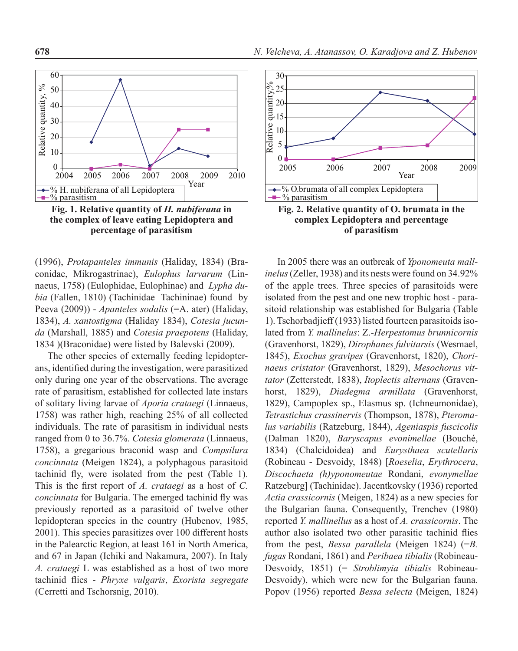

**Fig. 1. Relative quantity of** *H. nubiferana* **in the complex of leave eating Lepidoptera and percentage of parasitism**

(1996), *Protapanteles immunis* (Haliday, 1834) (Braconidae, Mikrogastrinae), *Eulophus larvarum* (Linnaeus, 1758) (Eulophidae, Eulophinae) and *Lypha dubia* (Fallen, 1810) (Tachinidae Tachininae) found by Peeva (2009)) - *Apanteles sodalis* (=A. ater) (Haliday, 1834), *A. xantostigma* (Haliday 1834), *Cotesia jucunda* (Marshall, 1885) and *Cotesia praepotens* (Haliday, 1834 )(Braconidae) were listed by Balevski (2009).

The other species of externally feeding lepidopterans, identified during the investigation, were parasitized only during one year of the observations. The average rate of parasitism, established for collected late instars of solitary living larvae of *Aporia crataegi* (Linnaeus, 1758) was rather high, reaching 25% of all collected individuals. The rate of parasitism in individual nests ranged from 0 to 36.7%. *Cotesia glomerata* (Linnaeus, 1758), a gregarious braconid wasp and *Compsilura concinnata* (Meigen 1824), a polyphagous parasitoid tachinid fly, were isolated from the pest (Table 1). This is the first report of *A. crataegi* as a host of *C. concinnata* for Bulgaria. The emerged tachinid fly was previously reported as a parasitoid of twelve other lepidopteran species in the country (Hubenov, 1985, 2001). This species parasitizes over 100 different hosts in the Palearctic Region, at least 161 in North America, and 67 in Japan (Ichiki and Nakamura, 2007). In Italy *A. crataegi* L was established as a host of two more tachinid flies - *Phryxe vulgaris*, *Exorista segregate* (Cerretti and Tschorsnig, 2010).



**complex Lepidoptera and percentage of parasitism**

In 2005 there was an outbreak of *Yponomeuta mallinelus* (Zeller, 1938) and its nests were found on 34.92% of the apple trees. Three species of parasitoids were isolated from the pest and one new trophic host - parasitoid relationship was established for Bulgaria (Table 1). Tschorbadjieff (1933) listed fourteen parasitoids isolated from *Y. mallinelus*: Z.-*Herpestomus brunnicornis* (Gravenhorst, 1829), *Dirophanes fulvitarsis* (Wesmael, 1845), *Exochus gravipes* (Gravenhorst, 1820), *Chorinaeus cristator* (Gravenhorst, 1829), *Mesochorus vittator* (Zetterstedt, 1838), *Itoplectis alternans* (Gravenhorst, 1829), *Diadegma armillata* (Gravenhorst, 1829), Campoplex sp., Elasmus sp. (Ichneumonidae), *Tetrastichus crassinervis* (Thompson, 1878), *Pteromalus variabilis* (Ratzeburg, 1844), *Ageniaspis fuscicolis*  (Dalman 1820), *Baryscapus evonimellae* (Bouché, 1834) (Chalcidoidea) and *Eurysthaea scutellaris*  (Robineau - Desvoidy, 1848) [*Roeselia*, *Erythrocera*, *Discochaeta (h)yponomeutae* Rondani, *evonymellae* Ratzeburg] (Tachinidae). Jacentkovsky (1936) reported *Actia crassicornis* (Meigen, 1824) as a new species for the Bulgarian fauna. Consequently, Trenchev (1980) reported *Y. mallinellus* as a host of *A. crassicornis*. The author also isolated two other parasitic tachinid flies from the pest, *Bessa parallela* (Meigen 1824) (=*B. fugas* Rondani, 1861) and *Peribaea tibialis* (Robineau-Desvoidy, 1851) (= *Stroblimyia tibialis* Robineau-Desvoidy), which were new for the Bulgarian fauna. Popov (1956) reported *Bessa selecta* (Meigen, 1824)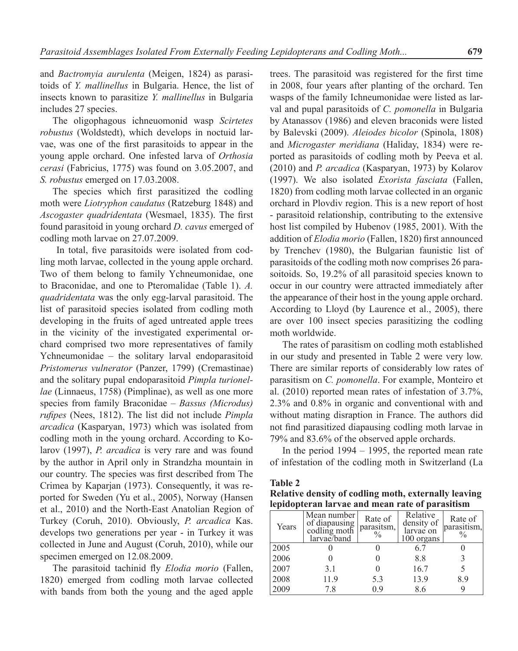and *Bactromyia aurulenta* (Meigen, 1824) as parasitoids of *Y. mallinellus* in Bulgaria. Hence, the list of insects known to parasitize *Y. mallinellus* in Bulgaria includes 27 species.

The oligophagous ichneuomonid wasp *Scirtetes robustus* (Woldstedt), which develops in noctuid larvae, was one of the first parasitoids to appear in the young apple orchard. One infested larva of *Orthosia cerasi* (Fabricius, 1775) was found on 3.05.2007, and *S. robustus* emerged on 17.03.2008.

The species which first parasitized the codling moth were *Liotryphon caudatus* (Ratzeburg 1848) and *Ascogaster quadridentata* (Wesmael, 1835). The first found parasitoid in young orchard *D. cavus* emerged of codling moth larvae on 27.07.2009.

 In total, five parasitoids were isolated from codling moth larvae, collected in the young apple orchard. Two of them belong to family Ychneumonidae, one to Braconidae, and one to Pteromalidae (Table 1). *A. quadridentata* was the only egg-larval parasitoid. The list of parasitoid species isolated from codling moth developing in the fruits of aged untreated apple trees in the vicinity of the investigated experimental orchard comprised two more representatives of family Ychneumonidae – the solitary larval endoparasitoid *Pristomerus vulnerator* (Panzer, 1799) (Cremastinae) and the solitary pupal endoparasitoid *Pimpla turionellae* (Linnaeus, 1758) (Pimplinae), as well as one more species from family Braconidae – *Bassus (Microdus) rufipes* (Nees, 1812). The list did not include *Pimpla arcadica* (Kasparyan, 1973) which was isolated from codling moth in the young orchard. According to Kolarov (1997), *P. arcadica* is very rare and was found by the author in April only in Strandzha mountain in our country. The species was first described from The Crimea by Kaparjan (1973). Consequently, it was reported for Sweden (Yu et al., 2005), Norway (Hansen et al., 2010) and the North-East Anatolian Region of Turkey (Coruh, 2010). Obviously, *P. arcadica* Kas. develops two generations per year - in Turkey it was collected in June and August (Coruh, 2010), while our specimen emerged on 12.08.2009.

The parasitoid tachinid fly *Elodia morio* (Fallen, 1820) emerged from codling moth larvae collected with bands from both the young and the aged apple trees. The parasitoid was registered for the first time in 2008, four years after planting of the orchard. Ten wasps of the family Ichneumonidae were listed as larval and pupal parasitoids of *C. pomonella* in Bulgaria by Atanassov (1986) and eleven braconids were listed by Balevski (2009). *Aleiodes bicolor* (Spinola, 1808) and *Microgaster meridiana* (Haliday, 1834) were reported as parasitoids of codling moth by Peeva et al. (2010) and *P. arcadica* (Kasparyan, 1973) by Kolarov (1997). We also isolated *Exorista fasciata* (Fallen, 1820) from codling moth larvae collected in an organic orchard in Plovdiv region. This is a new report of host - parasitoid relationship, contributing to the extensive host list compiled by Hubenov (1985, 2001). With the addition of *Elodia morio* (Fallen, 1820) first announced by Trenchev (1980), the Bulgarian faunistic list of parasitoids of the codling moth now comprises 26 parasoitoids. So, 19.2% of all parasitoid species known to occur in our country were attracted immediately after the appearance of their host in the young apple orchard. According to Lloyd (by Laurence et al., 2005), there are over 100 insect species parasitizing the codling moth worldwide.

The rates of parasitism on codling moth established in our study and presented in Table 2 were very low. There are similar reports of considerably low rates of parasitism on *C. pomonella*. For example, Monteiro et al. (2010) reported mean rates of infestation of 3.7%, 2.3% and 0.8% in organic and conventional with and without mating disraption in France. The authors did not find parasitized diapausing codling moth larvae in 79% and 83.6% of the observed apple orchards.

In the period 1994 – 1995, the reported mean rate of infestation of the codling moth in Switzerland (La

#### **Table 2**

**Relative density of codling moth, externally leaving lepidopteran larvae and mean rate of parasitism**

| Years | Mean number<br>of diapausing<br>codling moth<br>larvae/band | Rate of<br>parasitsm,<br>$\frac{0}{0}$ | Relative<br>density of<br>larvae on<br>100 organs | Rate of<br>parasitism,<br>$\frac{0}{0}$ |
|-------|-------------------------------------------------------------|----------------------------------------|---------------------------------------------------|-----------------------------------------|
| 2005  |                                                             |                                        | 6.7                                               |                                         |
| 2006  |                                                             |                                        | 8.8                                               |                                         |
| 2007  | 3.1                                                         |                                        | 16.7                                              |                                         |
| 2008  | 11.9                                                        | 5.3                                    | 13.9                                              | 8.9                                     |
| 2009  | 7.8                                                         | 0.9                                    | 8.6                                               |                                         |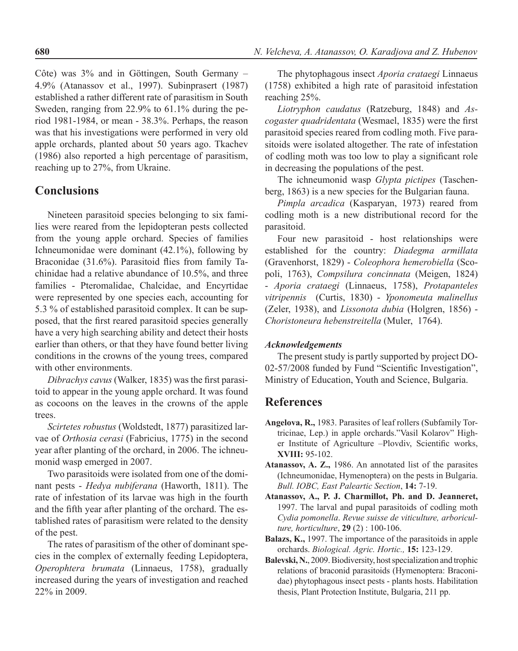Côte) was 3% and in Göttingen, South Germany – 4.9% (Atanassov et al., 1997). Subinprasert (1987) established a rather different rate of parasitism in South Sweden, ranging from 22.9% to 61.1% during the period 1981-1984, or mean - 38.3%. Perhaps, the reason was that his investigations were performed in very old apple orchards, planted about 50 years ago. Tkachev (1986) also reported a high percentage of parasitism, reaching up to 27%, from Ukraine.

## **Conclusions**

Nineteen parasitoid species belonging to six families were reared from the lepidopteran pests collected from the young apple orchard. Species of families Ichneumonidae were dominant (42.1%), following by Braconidae (31.6%). Parasitoid flies from family Tachinidae had a relative abundance of 10.5%, and three families - Pteromalidae, Chalcidae, and Encyrtidae were represented by one species each, accounting for 5.3 % of established parasitoid complex. It can be supposed, that the first reared parasitoid species generally have a very high searching ability and detect their hosts earlier than others, or that they have found better living conditions in the crowns of the young trees, compared with other environments.

*Dibrachys cavus* (Walker, 1835) was the first parasitoid to appear in the young apple orchard. It was found as cocoons on the leaves in the crowns of the apple trees.

*Scirtetes robustus* (Woldstedt, 1877) parasitized larvae of *Orthosia cerasi* (Fabricius, 1775) in the second year after planting of the orchard, in 2006. The ichneumonid wasp emerged in 2007.

Two parasitoids were isolated from one of the dominant pests - *Hedya nubiferana* (Haworth, 1811). The rate of infestation of its larvae was high in the fourth and the fifth year after planting of the orchard. The established rates of parasitism were related to the density of the pest.

The rates of parasitism of the other of dominant species in the complex of externally feeding Lepidoptera, *Operophtera brumata* (Linnaeus, 1758), gradually increased during the years of investigation and reached 22% in 2009.

The phytophagous insect *Aporia crataegi* Linnaeus (1758) exhibited a high rate of parasitoid infestation reaching 25%.

*Liotryphon caudatus* (Ratzeburg, 1848) and *Ascogaster quadridentata* (Wesmael, 1835) were the first parasitoid species reared from codling moth. Five parasitoids were isolated altogether. The rate of infestation of codling moth was too low to play a significant role in decreasing the populations of the pest.

The ichneumonid wasp *Glypta pictipes* (Taschenberg, 1863) is a new species for the Bulgarian fauna.

*Pimpla arcadica* (Kasparyan, 1973) reared from codling moth is a new distributional record for the parasitoid.

Four new parasitoid - host relationships were established for the country: *Diadegma armillata* (Gravenhorst, 1829) - *Coleophora hemerobiella* (Scopoli, 1763), *Compsilura concinnata* (Meigen, 1824) - *Aporia crataegi* (Linnaeus, 1758), *Protapanteles vitripennis* (Curtis, 1830) - *Yponomeuta malinellus* (Zeler, 1938), and *Lissonota dubia* (Holgren, 1856) - *Choristoneura hebenstreitella* (Muler, 1764).

#### *Acknowledgements*

The present study is partly supported by project DO-02-57/2008 funded by Fund "Scientific Investigation", Ministry of Education, Youth and Science, Bulgaria.

### **References**

- **Angelova, R.,** 1983. Parasites of leaf rollers (Subfamily Tortricinae, Lep.) in apple orchards."Vasil Kolarov" Higher Institute of Agriculture –Plovdiv, Scientific works, **XVIII:** 95-102.
- **Atanassov, A. Z.,** 1986. An annotated list of the parasites (Ichneumonidae, Hymenoptera) on the pests in Bulgaria. *Bull. IOBC, East Paleartic Section*, **14:** 7-19.
- **Atanassov, A., P. J. Charmillot, Ph. and D. Jeanneret,** 1997. The larval and pupal parasitoids of codling moth *Cydia pomonella*. *Revue suisse de viticulture, arboriculture, horticulture*, **29** (2) : 100-106.
- **Balazs, K.,** 1997. The importance of the parasitoids in apple orchards. *Biological. Agric. Hortic.,* **15:** 123-129.
- **Balevski, N.**, 2009. Biodiversity, host specialization and trophic relations of braconid parasitoids (Hymenoptera: Braconidae) phytophagous insect pests - plants hosts. Habilitation thesis, Plant Protection Institute, Bulgaria, 211 pp.